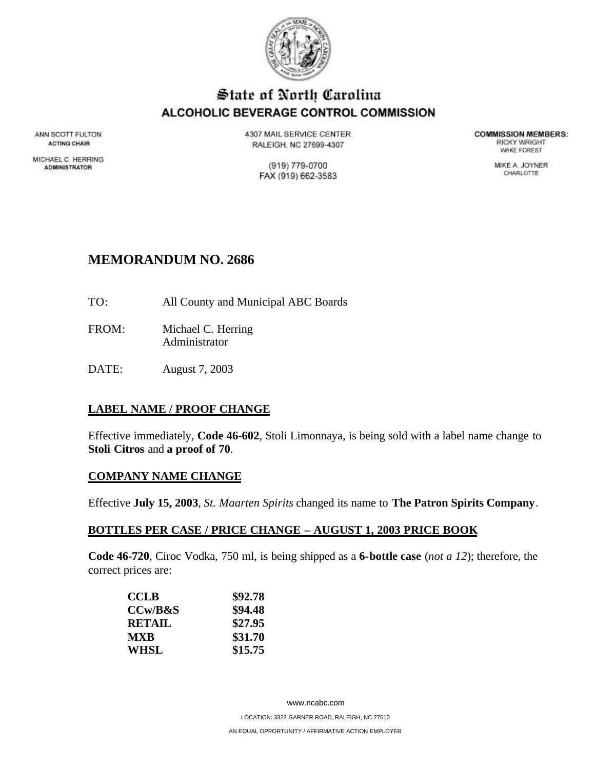

# State of North Carolina ALCOHOLIC BEVERAGE CONTROL COMMISSION

ANN SCOTT FULTON **ACTING CHAIR** 

MICHAEL C. HERRING **ADMINISTRATOR** 

4307 MAIL SERVICE CENTER RALEIGH, NC 27699-4307

> (919) 779-0700 FAX (919) 662-3583

**COMMISSION MEMBERS: RICKY WRIGHT** *VIAKE FOREST* 

> MIKE A. JOYNER CHARLOTTE

# **MEMORANDUM NO. 2686**

- TO: All County and Municipal ABC Boards
- FROM: Michael C. Herring Administrator
- DATE: August 7, 2003

# **LABEL NAME / PROOF CHANGE**

Effective immediately, **Code 46-602**, Stoli Limonnaya, is being sold with a label name change to **Stoli Citros** and **a proof of 70**.

# **COMPANY NAME CHANGE**

Effective **July 15, 2003**, *St. Maarten Spirits* changed its name to **The Patron Spirits Company**.

#### **BOTTLES PER CASE / PRICE CHANGE – AUGUST 1, 2003 PRICE BOOK**

**Code 46-720**, Ciroc Vodka, 750 ml, is being shipped as a **6-bottle case** (*not a 12*); therefore, the correct prices are:

| <b>CCLB</b> | \$92.78 |
|-------------|---------|
| CCw/B&S     | \$94.48 |
| RETAIL      | \$27.95 |
| <b>MXR</b>  | \$31.70 |
| WHSL        | \$15.75 |

www.ncabc.com LOCATION: 3322 GARNER ROAD, RALEIGH, NC 27610 AN EQUAL OPPORTUNITY / AFFIRMATIVE ACTION EMPLOYER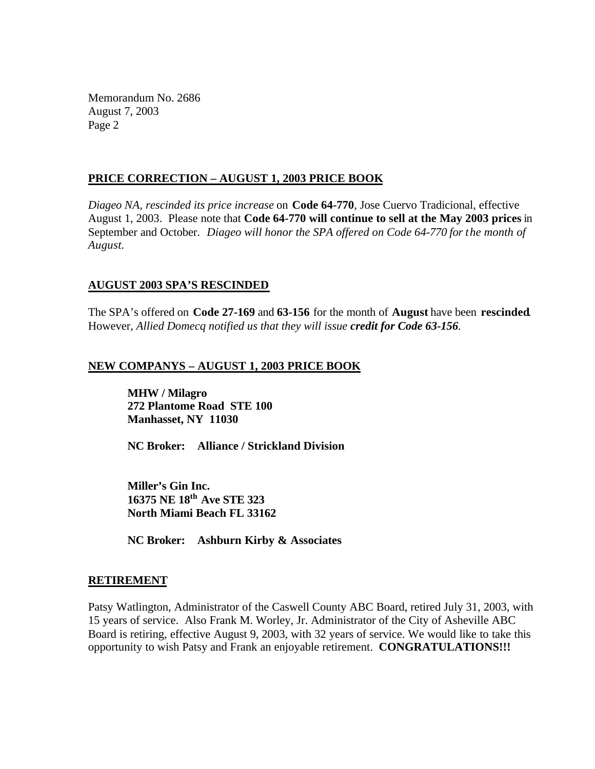Memorandum No. 2686 August 7, 2003 Page 2

#### **PRICE CORRECTION – AUGUST 1, 2003 PRICE BOOK**

*Diageo NA, rescinded its price increase* on **Code 64-770**, Jose Cuervo Tradicional, effective August 1, 2003. Please note that **Code 64-770 will continue to sell at the May 2003 prices** in September and October. *Diageo will honor the SPA offered on Code 64-770 for the month of August.*

#### **AUGUST 2003 SPA'S RESCINDED**

The SPA's offered on **Code 27-169** and **63-156** for the month of **August** have been **rescinded**. However, *Allied Domecq notified us that they will issue credit for Code 63-156.*

# **NEW COMPANYS – AUGUST 1, 2003 PRICE BOOK**

**MHW / Milagro 272 Plantome Road STE 100 Manhasset, NY 11030**

**NC Broker: Alliance / Strickland Division**

**Miller's Gin Inc. 16375 NE 18th Ave STE 323 North Miami Beach FL 33162**

**NC Broker: Ashburn Kirby & Associates**

# **RETIREMENT**

Patsy Watlington, Administrator of the Caswell County ABC Board, retired July 31, 2003, with 15 years of service. Also Frank M. Worley, Jr. Administrator of the City of Asheville ABC Board is retiring, effective August 9, 2003, with 32 years of service. We would like to take this opportunity to wish Patsy and Frank an enjoyable retirement. **CONGRATULATIONS!!!**